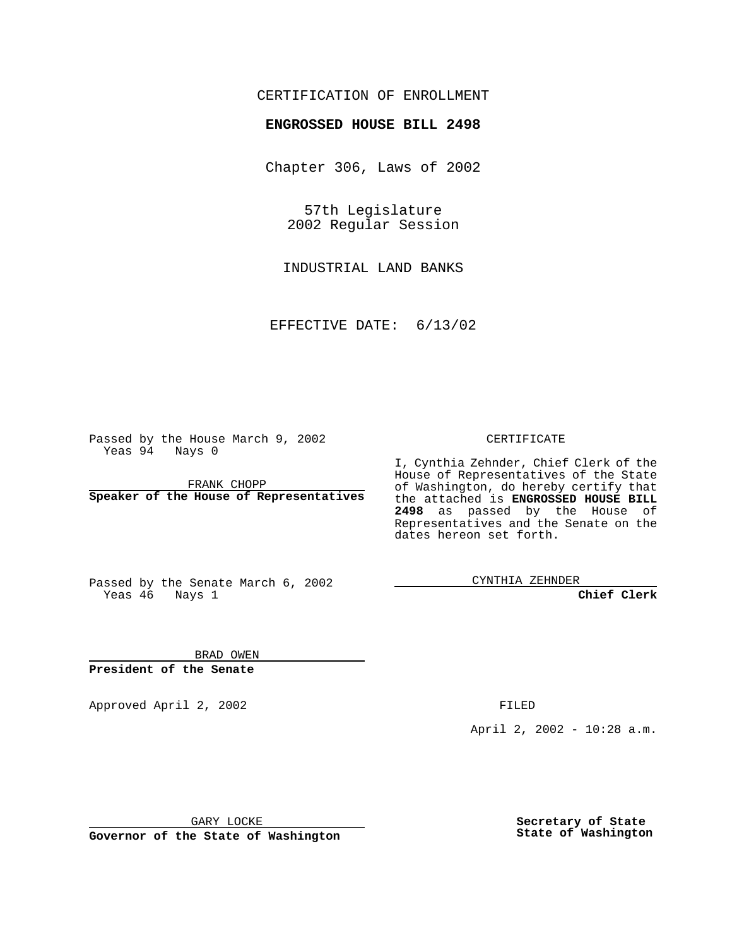### CERTIFICATION OF ENROLLMENT

# **ENGROSSED HOUSE BILL 2498**

Chapter 306, Laws of 2002

57th Legislature 2002 Regular Session

INDUSTRIAL LAND BANKS

EFFECTIVE DATE: 6/13/02

Passed by the House March 9, 2002 Yeas 94 Nays 0

FRANK CHOPP **Speaker of the House of Representatives** CERTIFICATE

I, Cynthia Zehnder, Chief Clerk of the House of Representatives of the State of Washington, do hereby certify that the attached is **ENGROSSED HOUSE BILL 2498** as passed by the House of Representatives and the Senate on the dates hereon set forth.

Passed by the Senate March 6, 2002 Yeas 46 Nays 1

CYNTHIA ZEHNDER

**Chief Clerk**

BRAD OWEN **President of the Senate**

Approved April 2, 2002 FILED

April 2, 2002 - 10:28 a.m.

GARY LOCKE

**Governor of the State of Washington**

**Secretary of State State of Washington**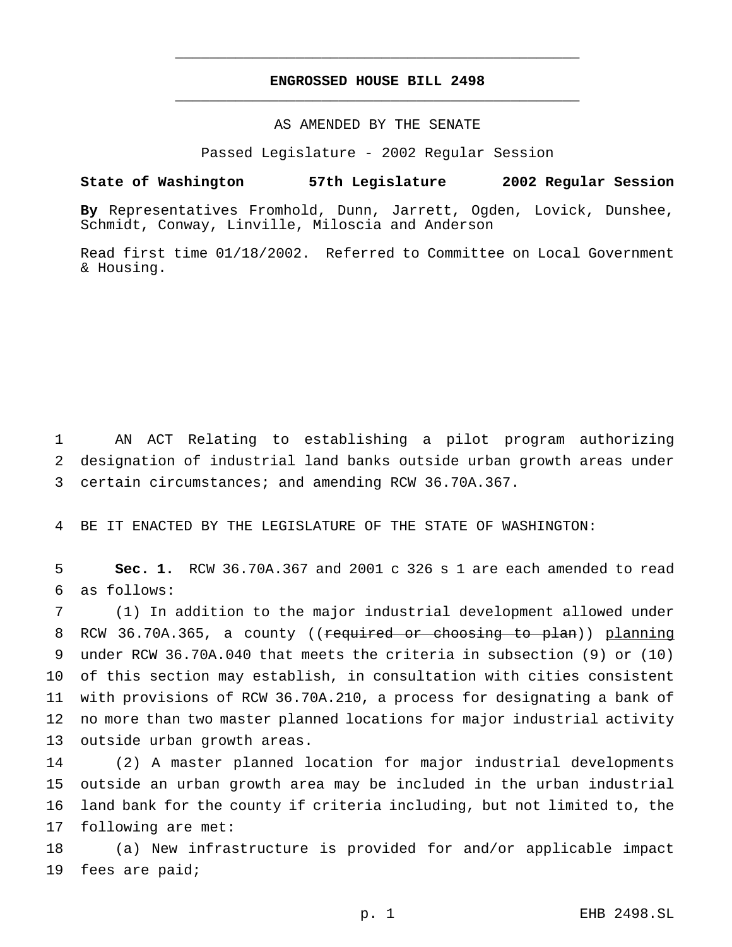## **ENGROSSED HOUSE BILL 2498** \_\_\_\_\_\_\_\_\_\_\_\_\_\_\_\_\_\_\_\_\_\_\_\_\_\_\_\_\_\_\_\_\_\_\_\_\_\_\_\_\_\_\_\_\_\_\_

\_\_\_\_\_\_\_\_\_\_\_\_\_\_\_\_\_\_\_\_\_\_\_\_\_\_\_\_\_\_\_\_\_\_\_\_\_\_\_\_\_\_\_\_\_\_\_

#### AS AMENDED BY THE SENATE

Passed Legislature - 2002 Regular Session

#### **State of Washington 57th Legislature 2002 Regular Session**

**By** Representatives Fromhold, Dunn, Jarrett, Ogden, Lovick, Dunshee, Schmidt, Conway, Linville, Miloscia and Anderson

Read first time 01/18/2002. Referred to Committee on Local Government & Housing.

1 AN ACT Relating to establishing a pilot program authorizing 2 designation of industrial land banks outside urban growth areas under 3 certain circumstances; and amending RCW 36.70A.367.

4 BE IT ENACTED BY THE LEGISLATURE OF THE STATE OF WASHINGTON:

5 **Sec. 1.** RCW 36.70A.367 and 2001 c 326 s 1 are each amended to read 6 as follows:

 (1) In addition to the major industrial development allowed under 8 RCW 36.70A.365, a county ((required or choosing to plan)) planning under RCW 36.70A.040 that meets the criteria in subsection (9) or (10) of this section may establish, in consultation with cities consistent with provisions of RCW 36.70A.210, a process for designating a bank of no more than two master planned locations for major industrial activity outside urban growth areas.

 (2) A master planned location for major industrial developments outside an urban growth area may be included in the urban industrial land bank for the county if criteria including, but not limited to, the following are met:

18 (a) New infrastructure is provided for and/or applicable impact 19 fees are paid;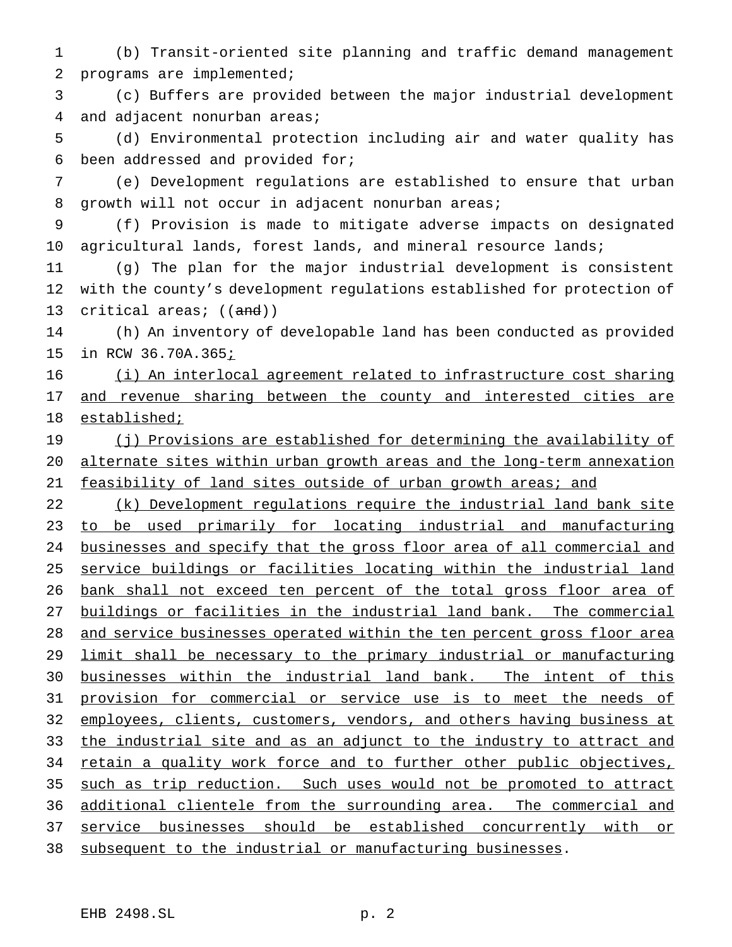(b) Transit-oriented site planning and traffic demand management programs are implemented;

 (c) Buffers are provided between the major industrial development and adjacent nonurban areas;

 (d) Environmental protection including air and water quality has been addressed and provided for;

 (e) Development regulations are established to ensure that urban growth will not occur in adjacent nonurban areas;

 (f) Provision is made to mitigate adverse impacts on designated agricultural lands, forest lands, and mineral resource lands;

 (g) The plan for the major industrial development is consistent with the county's development regulations established for protection of 13 critical areas; ((and))

 (h) An inventory of developable land has been conducted as provided 15 in RCW 36.70A.365*i* 

 (i) An interlocal agreement related to infrastructure cost sharing 17 and revenue sharing between the county and interested cities are established;

19 (j) Provisions are established for determining the availability of alternate sites within urban growth areas and the long-term annexation 21 feasibility of land sites outside of urban growth areas; and

22 (k) Development regulations require the industrial land bank site to be used primarily for locating industrial and manufacturing 24 businesses and specify that the gross floor area of all commercial and service buildings or facilities locating within the industrial land 26 bank shall not exceed ten percent of the total gross floor area of buildings or facilities in the industrial land bank. The commercial 28 and service businesses operated within the ten percent gross floor area limit shall be necessary to the primary industrial or manufacturing businesses within the industrial land bank. The intent of this 31 provision for commercial or service use is to meet the needs of 32 employees, clients, customers, vendors, and others having business at 33 the industrial site and as an adjunct to the industry to attract and 34 retain a quality work force and to further other public objectives, such as trip reduction. Such uses would not be promoted to attract additional clientele from the surrounding area. The commercial and service businesses should be established concurrently with or subsequent to the industrial or manufacturing businesses.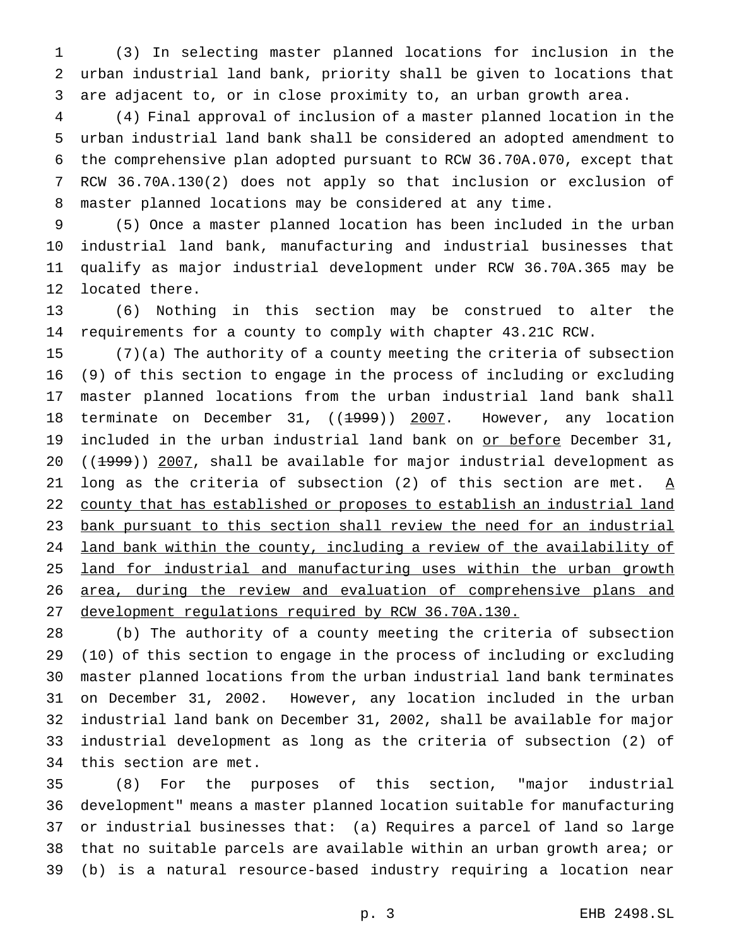(3) In selecting master planned locations for inclusion in the urban industrial land bank, priority shall be given to locations that are adjacent to, or in close proximity to, an urban growth area.

 (4) Final approval of inclusion of a master planned location in the urban industrial land bank shall be considered an adopted amendment to the comprehensive plan adopted pursuant to RCW 36.70A.070, except that RCW 36.70A.130(2) does not apply so that inclusion or exclusion of master planned locations may be considered at any time.

 (5) Once a master planned location has been included in the urban industrial land bank, manufacturing and industrial businesses that qualify as major industrial development under RCW 36.70A.365 may be located there.

 (6) Nothing in this section may be construed to alter the requirements for a county to comply with chapter 43.21C RCW.

 (7)(a) The authority of a county meeting the criteria of subsection (9) of this section to engage in the process of including or excluding master planned locations from the urban industrial land bank shall 18 terminate on December 31, ((<del>1999</del>)) 2007. However, any location 19 included in the urban industrial land bank on or before December 31, 20 ((1999)) 2007, shall be available for major industrial development as 21 long as the criteria of subsection (2) of this section are met.  $\underline{A}$  county that has established or proposes to establish an industrial land bank pursuant to this section shall review the need for an industrial land bank within the county, including a review of the availability of 25 land for industrial and manufacturing uses within the urban growth 26 area, during the review and evaluation of comprehensive plans and development regulations required by RCW 36.70A.130.

 (b) The authority of a county meeting the criteria of subsection (10) of this section to engage in the process of including or excluding master planned locations from the urban industrial land bank terminates on December 31, 2002. However, any location included in the urban industrial land bank on December 31, 2002, shall be available for major industrial development as long as the criteria of subsection (2) of this section are met.

 (8) For the purposes of this section, "major industrial development" means a master planned location suitable for manufacturing or industrial businesses that: (a) Requires a parcel of land so large that no suitable parcels are available within an urban growth area; or (b) is a natural resource-based industry requiring a location near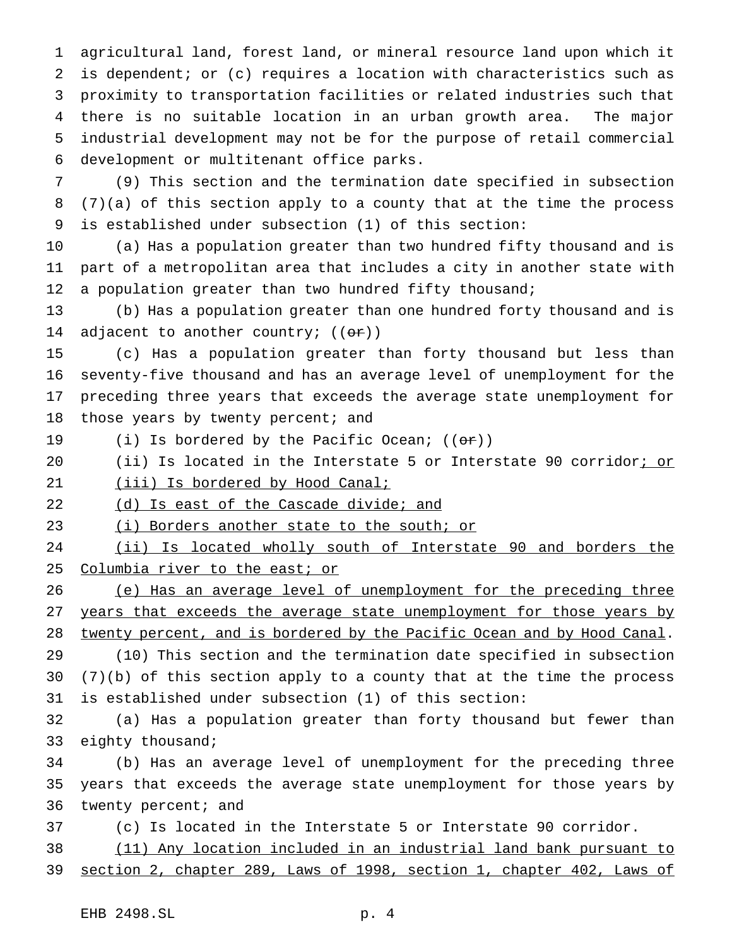agricultural land, forest land, or mineral resource land upon which it is dependent; or (c) requires a location with characteristics such as proximity to transportation facilities or related industries such that there is no suitable location in an urban growth area. The major industrial development may not be for the purpose of retail commercial development or multitenant office parks.

 (9) This section and the termination date specified in subsection (7)(a) of this section apply to a county that at the time the process is established under subsection (1) of this section:

 (a) Has a population greater than two hundred fifty thousand and is part of a metropolitan area that includes a city in another state with 12 a population greater than two hundred fifty thousand;

 (b) Has a population greater than one hundred forty thousand and is 14 adjacent to another country;  $((or))$ 

 (c) Has a population greater than forty thousand but less than seventy-five thousand and has an average level of unemployment for the preceding three years that exceeds the average state unemployment for 18 those years by twenty percent; and

- 19 (i) Is bordered by the Pacific Ocean;  $((\theta \cdot \mathbf{r}))$
- (ii) Is located in the Interstate 5 or Interstate 90 corridor; or

21 (iii) Is bordered by Hood Canal;

22 (d) Is east of the Cascade divide; and

23 (i) Borders another state to the south; or

 (ii) Is located wholly south of Interstate 90 and borders the 25 Columbia river to the east; or

 (e) Has an average level of unemployment for the preceding three 27 years that exceeds the average state unemployment for those years by twenty percent, and is bordered by the Pacific Ocean and by Hood Canal.

 (10) This section and the termination date specified in subsection (7)(b) of this section apply to a county that at the time the process is established under subsection (1) of this section:

 (a) Has a population greater than forty thousand but fewer than 33 eighty thousand;

 (b) Has an average level of unemployment for the preceding three years that exceeds the average state unemployment for those years by 36 twenty percent; and

(c) Is located in the Interstate 5 or Interstate 90 corridor.

 (11) Any location included in an industrial land bank pursuant to section 2, chapter 289, Laws of 1998, section 1, chapter 402, Laws of